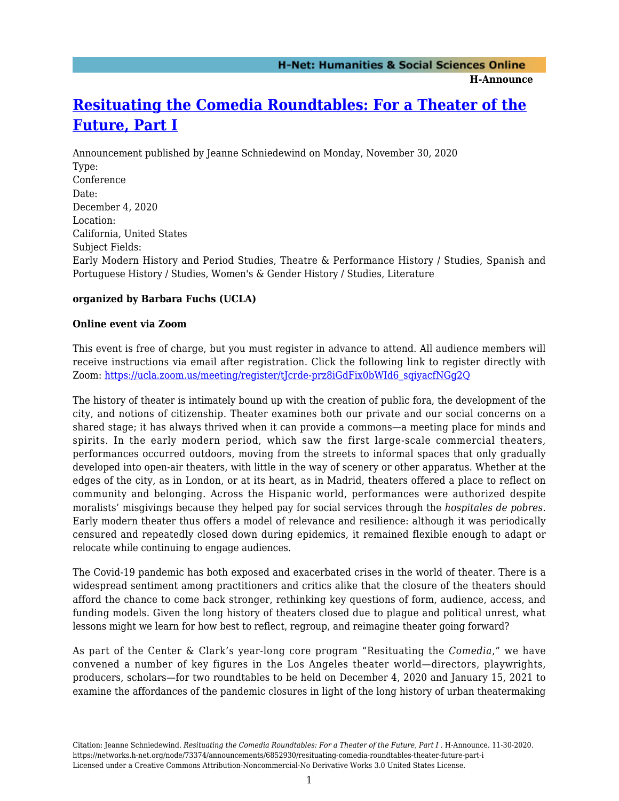**H-Announce** 

# **[Resituating the Comedia Roundtables: For a Theater of the](https://networks.h-net.org/node/73374/announcements/6852930/resituating-comedia-roundtables-theater-future-part-i) [Future, Part I](https://networks.h-net.org/node/73374/announcements/6852930/resituating-comedia-roundtables-theater-future-part-i)**

Announcement published by Jeanne Schniedewind on Monday, November 30, 2020 Type: Conference Date: December 4, 2020 Location: California, United States Subject Fields: Early Modern History and Period Studies, Theatre & Performance History / Studies, Spanish and Portuguese History / Studies, Women's & Gender History / Studies, Literature

# **organized by Barbara Fuchs (UCLA)**

### **Online event via Zoom**

This event is free of charge, but you must register in advance to attend. All audience members will receive instructions via email after registration. Click the following link to register directly with Zoom: [https://ucla.zoom.us/meeting/register/tJcrde-prz8iGdFix0bWId6\\_sqiyacfNGg2Q](https://ucla.zoom.us/meeting/register/tJcrde-prz8iGdFix0bWId6_sqiyacfNGg2Q)

The history of theater is intimately bound up with the creation of public fora, the development of the city, and notions of citizenship. Theater examines both our private and our social concerns on a shared stage; it has always thrived when it can provide a commons—a meeting place for minds and spirits. In the early modern period, which saw the first large-scale commercial theaters, performances occurred outdoors, moving from the streets to informal spaces that only gradually developed into open-air theaters, with little in the way of scenery or other apparatus. Whether at the edges of the city, as in London, or at its heart, as in Madrid, theaters offered a place to reflect on community and belonging. Across the Hispanic world, performances were authorized despite moralists' misgivings because they helped pay for social services through the *hospitales de pobres*. Early modern theater thus offers a model of relevance and resilience: although it was periodically censured and repeatedly closed down during epidemics, it remained flexible enough to adapt or relocate while continuing to engage audiences.

The Covid-19 pandemic has both exposed and exacerbated crises in the world of theater. There is a widespread sentiment among practitioners and critics alike that the closure of the theaters should afford the chance to come back stronger, rethinking key questions of form, audience, access, and funding models. Given the long history of theaters closed due to plague and political unrest, what lessons might we learn for how best to reflect, regroup, and reimagine theater going forward?

As part of the Center & Clark's year-long core program "Resituating the *Comedia*," we have convened a number of key figures in the Los Angeles theater world—directors, playwrights, producers, scholars—for two roundtables to be held on December 4, 2020 and January 15, 2021 to examine the affordances of the pandemic closures in light of the long history of urban theatermaking